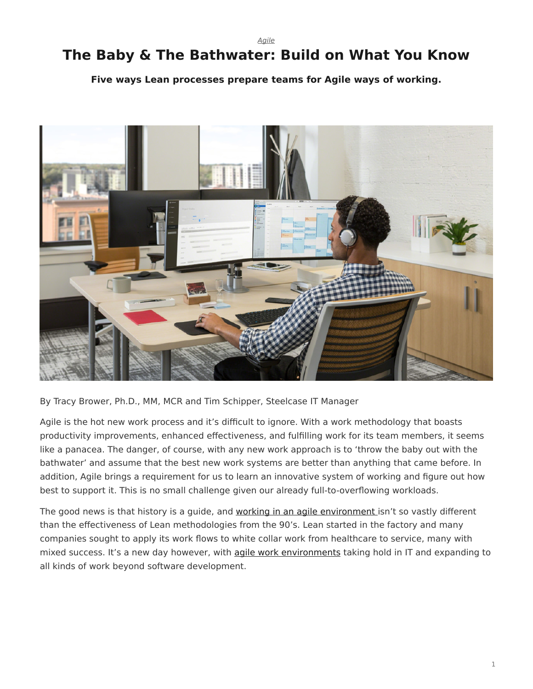*[Agile](https://www.steelcase.com/research/topics/agile/)*

# <span id="page-0-0"></span>**The Baby & The Bathwater: Build on What You Know**

**Five ways Lean processes prepare teams for Agile ways of working.**



By Tracy Brower, Ph.D., MM, MCR and Tim Schipper, Steelcase IT Manager

Agile is the hot new work process and it's difficult to ignore. With a work methodology that boasts productivity improvements, enhanced effectiveness, and fulfilling work for its team members, it seems like a panacea. The danger, of course, with any new work approach is to 'throw the baby out with the bathwater' and assume that the best new work systems are better than anything that came before. In addition, Agile brings a requirement for us to learn an innovative system of working and figure out how best to support it. This is no small challenge given our already full-to-overflowing workloads.

The good news is that history is a guide, and [working in an agile environment](https://www.steelcase.com/research/articles/topics/agile/creating-conditions-agile/) isn't so vastly different than the effectiveness of Lean methodologies from the 90's. Lean started in the factory and many companies sought to apply its work flows to white collar work from healthcare to service, many with mixed success. It's a new day however, with [agile work environments](https://www.steelcase.com/research/articles/topics/agile/creating-conditions-agile/) taking hold in IT and expanding to all kinds of work beyond software development.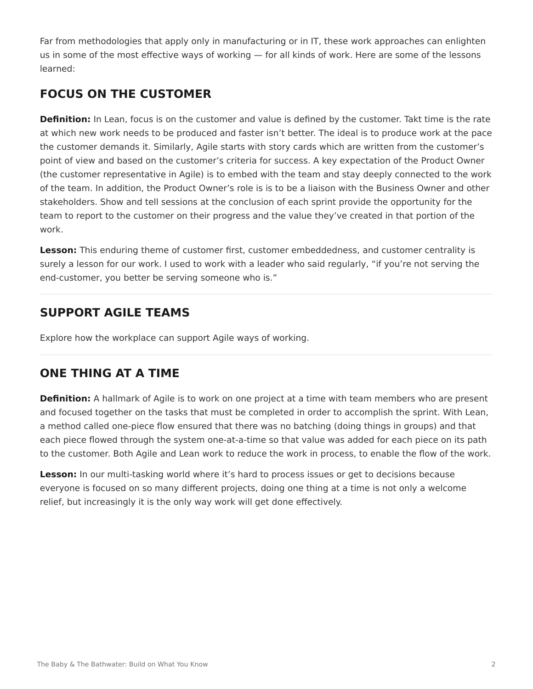Far from methodologies that apply only in manufacturing or in IT, these work approaches can enlighten us in some of the most effective ways of working — for all kinds of work. Here are some of the lessons learned:

# **FOCUS ON THE CUSTOMER**

**Definition:** In Lean, focus is on the customer and value is defined by the customer. Takt time is the rate at which new work needs to be produced and faster isn't better. The ideal is to produce work at the pace the customer demands it. Similarly, Agile starts with story cards which are written from the customer's point of view and based on the customer's criteria for success. A key expectation of the Product Owner (the customer representative in Agile) is to embed with the team and stay deeply connected to the work of the team. In addition, the Product Owner's role is is to be a liaison with the Business Owner and other stakeholders. Show and tell sessions at the conclusion of each sprint provide the opportunity for the team to report to the customer on their progress and the value they've created in that portion of the work.

**Lesson:** This enduring theme of customer first, customer embeddedness, and customer centrality is surely a lesson for our work. I used to work with a leader who said regularly, "if you're not serving the end-customer, you better be serving someone who is."

# **SUPPORT AGILE TEAMS**

Explore how the workplace can support Agile ways of working.

# **ONE THING AT A TIME**

**Definition:** A hallmark of Agile is to work on one project at a time with team members who are present and focused together on the tasks that must be completed in order to accomplish the sprint. With Lean, a method called one-piece flow ensured that there was no batching (doing things in groups) and that each piece flowed through the system one-at-a-time so that value was added for each piece on its path to the customer. Both Agile and Lean work to reduce the work in process, to enable the flow of the work.

**Lesson:** In our multi-tasking world where it's hard to process issues or get to decisions because everyone is focused on so many different projects, doing one thing at a time is not only a welcome relief, but increasingly it is the only way work will get done effectively.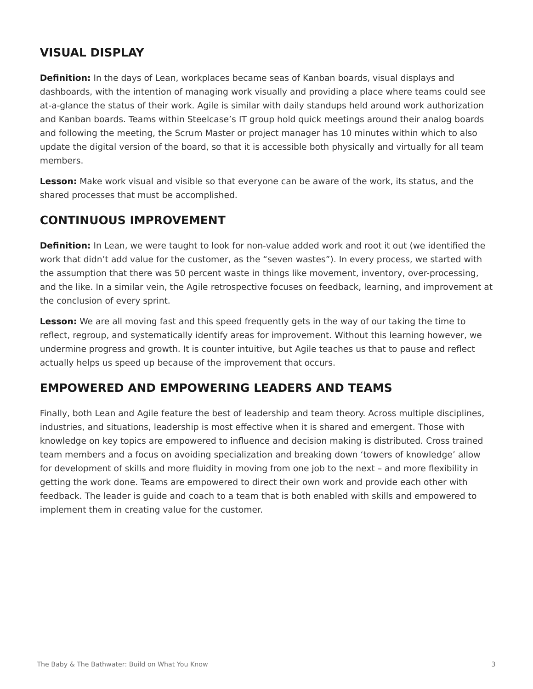### **VISUAL DISPLAY**

**Definition:** In the days of Lean, workplaces became seas of Kanban boards, visual displays and dashboards, with the intention of managing work visually and providing a place where teams could see at-a-glance the status of their work. Agile is similar with daily standups held around work authorization and Kanban boards. Teams within Steelcase's IT group hold quick meetings around their analog boards and following the meeting, the Scrum Master or project manager has 10 minutes within which to also update the digital version of the board, so that it is accessible both physically and virtually for all team members.

**Lesson:** Make work visual and visible so that everyone can be aware of the work, its status, and the shared processes that must be accomplished.

#### **CONTINUOUS IMPROVEMENT**

**Definition:** In Lean, we were taught to look for non-value added work and root it out (we identified the work that didn't add value for the customer, as the "seven wastes"). In every process, we started with the assumption that there was 50 percent waste in things like movement, inventory, over-processing, and the like. In a similar vein, the Agile retrospective focuses on feedback, learning, and improvement at the conclusion of every sprint.

**Lesson:** We are all moving fast and this speed frequently gets in the way of our taking the time to reflect, regroup, and systematically identify areas for improvement. Without this learning however, we undermine progress and growth. It is counter intuitive, but Agile teaches us that to pause and reflect actually helps us speed up because of the improvement that occurs.

#### **EMPOWERED AND EMPOWERING LEADERS AND TEAMS**

Finally, both Lean and Agile feature the best of leadership and team theory. Across multiple disciplines, industries, and situations, leadership is most effective when it is shared and emergent. Those with knowledge on key topics are empowered to influence and decision making is distributed. Cross trained team members and a focus on avoiding specialization and breaking down 'towers of knowledge' allow for development of skills and more fluidity in moving from one job to the next – and more flexibility in getting the work done. Teams are empowered to direct their own work and provide each other with feedback. The leader is guide and coach to a team that is both enabled with skills and empowered to implement them in creating value for the customer.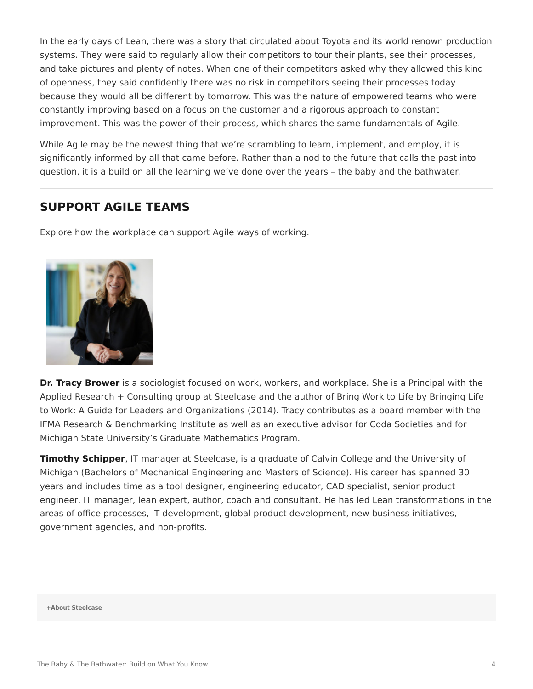In the early days of Lean, there was a story that circulated about Toyota and its world renown production systems. They were said to regularly allow their competitors to tour their plants, see their processes, and take pictures and plenty of notes. When one of their competitors asked why they allowed this kind of openness, they said confidently there was no risk in competitors seeing their processes today because they would all be different by tomorrow. This was the nature of empowered teams who were constantly improving based on a focus on the customer and a rigorous approach to constant improvement. This was the power of their process, which shares the same fundamentals of Agile.

While Agile may be the newest thing that we're scrambling to learn, implement, and employ, it is significantly informed by all that came before. Rather than a nod to the future that calls the past into question, it is a build on all the learning we've done over the years – the baby and the bathwater.

#### **SUPPORT AGILE TEAMS**

Explore how the workplace can support Agile ways of working.



**Dr. Tracy Brower** is a sociologist focused on work, workers, and workplace. She is a Principal with the Applied Research + Consulting group at Steelcase and the author of Bring Work to Life by Bringing Life to Work: A Guide for Leaders and Organizations (2014). Tracy contributes as a board member with the IFMA Research & Benchmarking Institute as well as an executive advisor for Coda Societies and for Michigan State University's Graduate Mathematics Program.

**Timothy Schipper**, IT manager at Steelcase, is a graduate of Calvin College and the University of Michigan (Bachelors of Mechanical Engineering and Masters of Science). His career has spanned 30 years and includes time as a tool designer, engineering educator, CAD specialist, senior product engineer, IT manager, lean expert, author, coach and consultant. He has led Lean transformations in the areas of office processes, IT development, global product development, new business initiatives, government agencies, and non-profits.

#### **[+About Steelcase](https://www.steelcase.com/discover/steelcase/our-company/)**